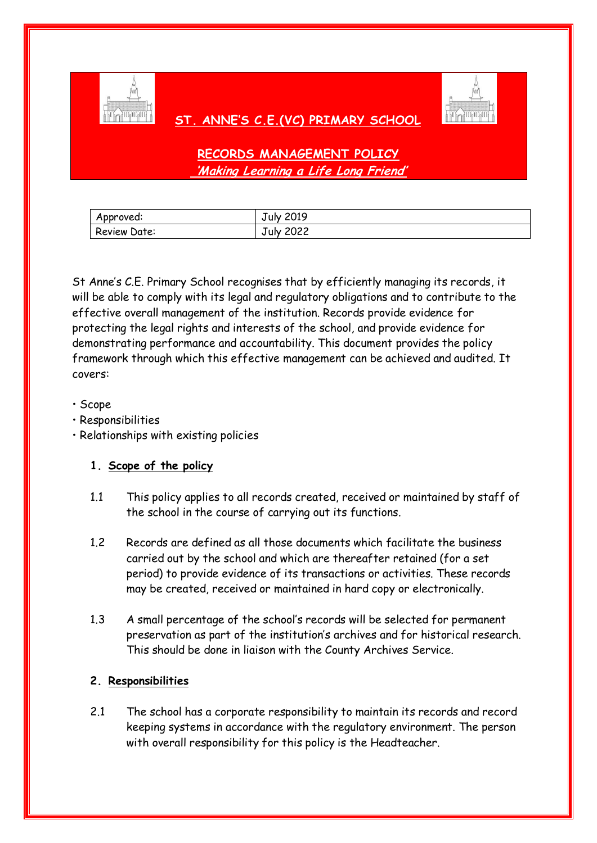

# **ST. ANNE'S C.E.(VC) PRIMARY SCHOOL**



**RECORDS MANAGEMENT POLICY 'Making Learning a Life Long Friend'**

| Approved:    | <b>Tuly 2019</b> |
|--------------|------------------|
| Review Date: | July 2022        |

St Anne's C.E. Primary School recognises that by efficiently managing its records, it will be able to comply with its legal and regulatory obligations and to contribute to the effective overall management of the institution. Records provide evidence for protecting the legal rights and interests of the school, and provide evidence for demonstrating performance and accountability. This document provides the policy framework through which this effective management can be achieved and audited. It covers:

### • Scope

- Responsibilities
- Relationships with existing policies

## **1. Scope of the policy**

- 1.1 This policy applies to all records created, received or maintained by staff of the school in the course of carrying out its functions.
- 1.2 Records are defined as all those documents which facilitate the business carried out by the school and which are thereafter retained (for a set period) to provide evidence of its transactions or activities. These records may be created, received or maintained in hard copy or electronically.
- 1.3 A small percentage of the school's records will be selected for permanent preservation as part of the institution's archives and for historical research. This should be done in liaison with the County Archives Service.

## **2. Responsibilities**

2.1 The school has a corporate responsibility to maintain its records and record keeping systems in accordance with the regulatory environment. The person with overall responsibility for this policy is the Headteacher.